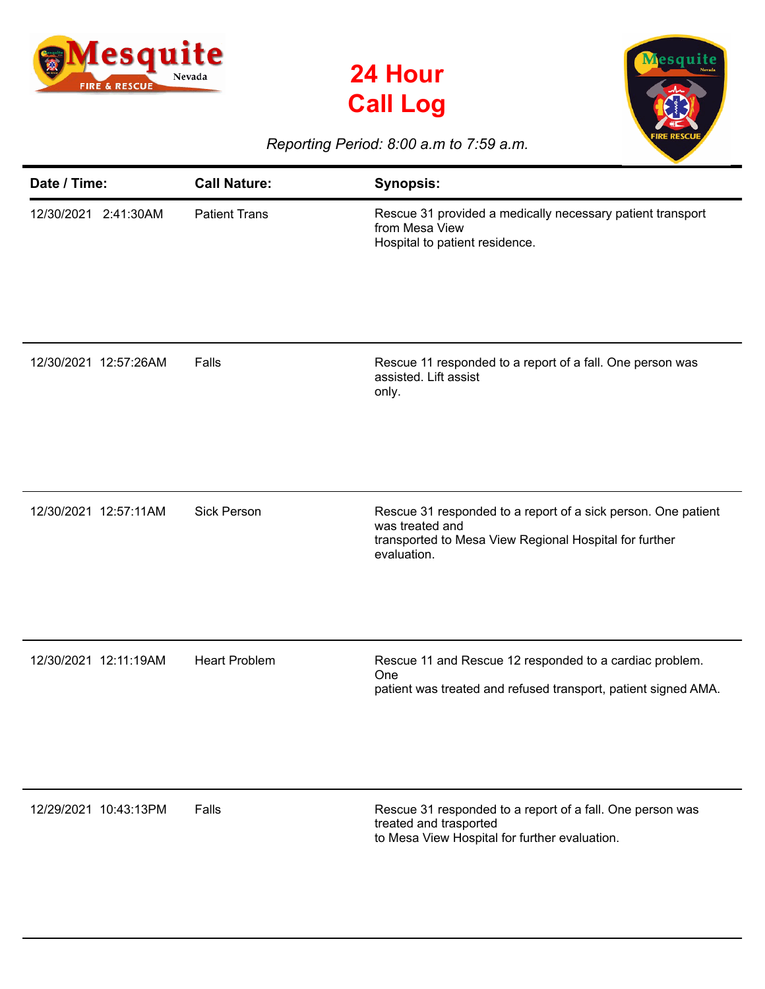





## *Reporting Period: 8:00 a.m to 7:59 a.m.*

| Date / Time:          | <b>Call Nature:</b>  | <b>Synopsis:</b>                                                                                                                                          |
|-----------------------|----------------------|-----------------------------------------------------------------------------------------------------------------------------------------------------------|
| 12/30/2021 2:41:30AM  | <b>Patient Trans</b> | Rescue 31 provided a medically necessary patient transport<br>from Mesa View<br>Hospital to patient residence.                                            |
| 12/30/2021 12:57:26AM | Falls                | Rescue 11 responded to a report of a fall. One person was<br>assisted. Lift assist<br>only.                                                               |
| 12/30/2021 12:57:11AM | <b>Sick Person</b>   | Rescue 31 responded to a report of a sick person. One patient<br>was treated and<br>transported to Mesa View Regional Hospital for further<br>evaluation. |
| 12/30/2021 12:11:19AM | <b>Heart Problem</b> | Rescue 11 and Rescue 12 responded to a cardiac problem.<br>One<br>patient was treated and refused transport, patient signed AMA.                          |
| 12/29/2021 10:43:13PM | Falls                | Rescue 31 responded to a report of a fall. One person was<br>treated and trasported<br>to Mesa View Hospital for further evaluation.                      |